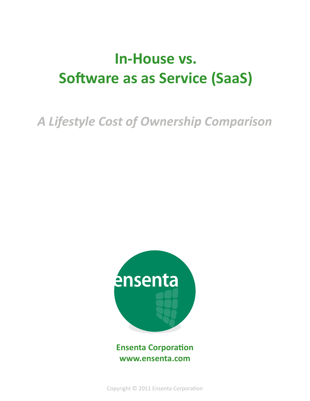# **In-House vs. Software as as Service (SaaS)**

*A Lifestyle Cost of Ownership Comparison*



**Ensenta Corporation www.ensenta.com**

Copyright © 2011 Ensenta Corporation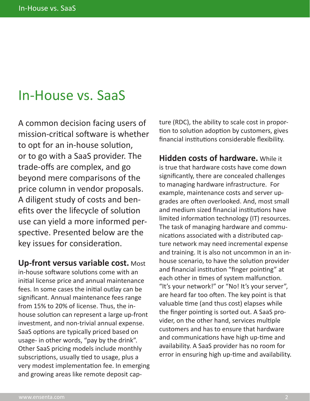### In-House vs. SaaS

A common decision facing users of mission-critical software is whether to opt for an in-house solution, or to go with a SaaS provider. The trade-offs are complex, and go beyond mere comparisons of the price column in vendor proposals. A diligent study of costs and benefits over the lifecycle of solution use can yield a more informed perspective. Presented below are the key issues for consideration.

**Up-front versus variable cost.** Most in-house software solutions come with an initial license price and annual maintenance fees. In some cases the initial outlay can be significant. Annual maintenance fees range from 15% to 20% of license. Thus, the inhouse solution can represent a large up-front investment, and non-trivial annual expense. SaaS options are typically priced based on usage- in other words, "pay by the drink". Other SaaS pricing models include monthly subscriptions, usually tied to usage, plus a very modest implementation fee. In emerging and growing areas like remote deposit cap-

ture (RDC), the ability to scale cost in proportion to solution adoption by customers, gives financial institutions considerable flexibility.

**Hidden costs of hardware.** While it is true that hardware costs have come down significantly, there are concealed challenges to managing hardware infrastructure. For example, maintenance costs and server upgrades are often overlooked. And, most small and medium sized financial institutions have limited information technology (IT) resources. The task of managing hardware and communications associated with a distributed capture network may need incremental expense and training. It is also not uncommon in an inhouse scenario, to have the solution provider and financial institution "finger pointing" at each other in times of system malfunction. "It's your network!" or "No! It's your server", are heard far too often. The key point is that valuable time (and thus cost) elapses while the finger pointing is sorted out. A SaaS provider, on the other hand, services multiple customers and has to ensure that hardware and communications have high up-time and availability. A SaaS provider has no room for error in ensuring high up-time and availability.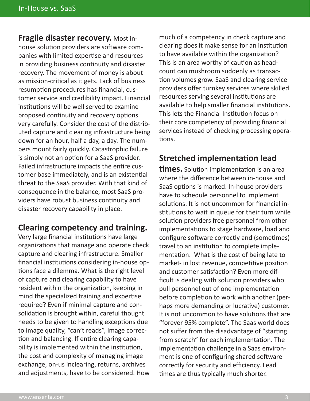**Fragile disaster recovery.** Most inhouse solution providers are software companies with limited expertise and resources in providing business continuity and disaster recovery. The movement of money is about as mission-critical as it gets. Lack of business resumption procedures has financial, customer service and credibility impact. Financial institutions will be well served to examine proposed continuity and recovery options very carefully. Consider the cost of the distributed capture and clearing infrastructure being down for an hour, half a day, a day. The numbers mount fairly quickly. Catastrophic failure is simply not an option for a SaaS provider. Failed infrastructure impacts the entire customer base immediately, and is an existential threat to the SaaS provider. With that kind of consequence in the balance, most SaaS providers have robust business continuity and disaster recovery capability in place.

#### **Clearing competency and training.**

Very large financial institutions have large organizations that manage and operate check capture and clearing infrastructure. Smaller financial institutions considering in-house options face a dilemma. What is the right level of capture and clearing capability to have resident within the organization, keeping in mind the specialized training and expertise required? Even if minimal capture and consolidation is brought within, careful thought needs to be given to handling exceptions due to image quality, "can't reads", image correction and balancing. If entire clearing capability is implemented within the institution, the cost and complexity of managing image exchange, on-us inclearing, returns, archives and adjustments, have to be considered. How

much of a competency in check capture and clearing does it make sense for an institution to have available within the organization? This is an area worthy of caution as headcount can mushroom suddenly as transaction volumes grow. SaaS and clearing service providers offer turnkey services where skilled resources serving several institutions are available to help smaller financial institutions. This lets the Financial Institution focus on their core competency of providing financial services instead of checking processing operations.

#### **Stretched implementation lead**

**times.** Solution implementation is an area where the difference between in-house and SaaS options is marked. In-house providers have to schedule personnel to implement solutions. It is not uncommon for financial institutions to wait in queue for their turn while solution providers free personnel from other implementations to stage hardware, load and configure software correctly and (sometimes) travel to an institution to complete implementation. What is the cost of being late to market- in lost revenue, competitive position and customer satisfaction? Even more difficult is dealing with solution providers who pull personnel out of one implementation before completion to work with another (perhaps more demanding or lucrative) customer. It is not uncommon to have solutions that are "forever 95% complete". The Saas world does not suffer from the disadvantage of "starting from scratch" for each implementation. The implementation challenge in a Saas environment is one of configuring shared software correctly for security and efficiency. Lead times are thus typically much shorter.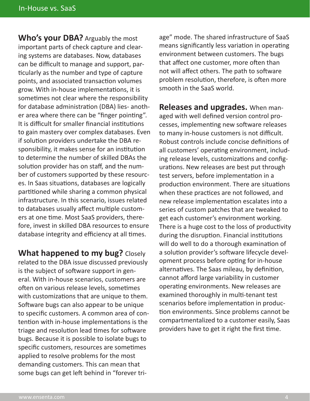**Who's your DBA?** Arguably the most important parts of check capture and clearing systems are databases. Now, databases can be difficult to manage and support, particularly as the number and type of capture points, and associated transaction volumes grow. With in-house implementations, it is sometimes not clear where the responsibility for database administration (DBA) lies- another area where there can be "finger pointing". It is difficult for smaller financial institutions to gain mastery over complex databases. Even if solution providers undertake the DBA responsibility, it makes sense for an institution to determine the number of skilled DBAs the solution provider has on staff, and the number of customers supported by these resources. In Saas situations, databases are logically partitioned while sharing a common physical infrastructure. In this scenario, issues related to databases usually affect multiple customers at one time. Most SaaS providers, therefore, invest in skilled DBA resources to ensure database integrity and efficiency at all times.

**What happened to my bug?** Closely related to the DBA issue discussed previously is the subject of software support in general. With in-house scenarios, customers are often on various release levels, sometimes with customizations that are unique to them. Software bugs can also appear to be unique to specific customers. A common area of contention with in-house implementations is the triage and resolution lead times for software bugs. Because it is possible to isolate bugs to specific customers, resources are sometimes applied to resolve problems for the most demanding customers. This can mean that some bugs can get left behind in "forever tri-

age" mode. The shared infrastructure of SaaS means significantly less variation in operating environment between customers. The bugs that affect one customer, more often than not will affect others. The path to software problem resolution, therefore, is often more smooth in the SaaS world.

**Releases and upgrades.** When managed with well defined version control processes, implementing new software releases to many in-house customers is not difficult. Robust controls include concise definitions of all customers' operating environment, including release levels, customizations and configurations. New releases are best put through test servers, before implementation in a production environment. There are situations when these practices are not followed, and new release implementation escalates into a series of custom patches that are tweaked to get each customer's environment working. There is a huge cost to the loss of productivity during the disruption. Financial institutions will do well to do a thorough examination of a solution provider's software lifecycle development process before opting for in-house alternatives. The Saas mileau, by definition, cannot afford large variability in customer operating environments. New releases are examined thoroughly in multi-tenant test scenarios before implementation in production environments. Since problems cannot be compartmentalized to a customer easily, Saas providers have to get it right the first time.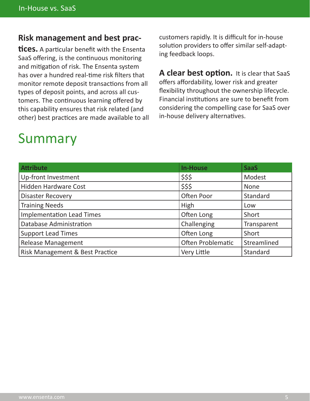#### **Risk management and best prac-**

**tices.** A particular benefit with the Ensenta SaaS offering, is the continuous monitoring and mitigation of risk. The Ensenta system has over a hundred real-time risk filters that monitor remote deposit transactions from all types of deposit points, and across all customers. The continuous learning offered by this capability ensures that risk related (and other) best practices are made available to all

## Summary

customers rapidly. It is difficult for in-house solution providers to offer similar self-adapting feedback loops.

A clear best option. It is clear that SaaS offers affordability, lower risk and greater flexibility throughout the ownership lifecycle. Financial institutions are sure to benefit from considering the compelling case for SaaS over in-house delivery alternatives.

| <b>Attribute</b>                 | <b>In-House</b>          | <b>SaaS</b> |
|----------------------------------|--------------------------|-------------|
| Up-front Investment              | \$\$\$                   | Modest      |
| <b>Hidden Hardware Cost</b>      | \$\$\$                   | <b>None</b> |
| <b>Disaster Recovery</b>         | Often Poor               | Standard    |
| <b>Training Needs</b>            | High                     | Low         |
| <b>Implementation Lead Times</b> | Often Long               | Short       |
| <b>Database Administration</b>   | Challenging              | Transparent |
| <b>Support Lead Times</b>        | Often Long               | Short       |
| <b>Release Management</b>        | <b>Often Problematic</b> | Streamlined |
| Risk Management & Best Practice  | Very Little              | Standard    |